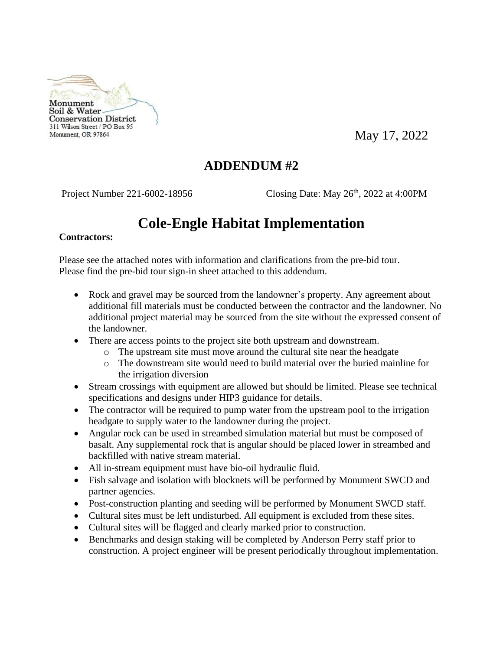

May 17, 2022

## **ADDENDUM #2**

Project Number 221-6002-18956 Closing Date: May 26<sup>th</sup>, 2022 at 4:00PM

## **Cole-Engle Habitat Implementation**

## **Contractors:**

Please see the attached notes with information and clarifications from the pre-bid tour. Please find the pre-bid tour sign-in sheet attached to this addendum.

- Rock and gravel may be sourced from the landowner's property. Any agreement about additional fill materials must be conducted between the contractor and the landowner. No additional project material may be sourced from the site without the expressed consent of the landowner.
- There are access points to the project site both upstream and downstream.
	- o The upstream site must move around the cultural site near the headgate
	- $\circ$  The downstream site would need to build material over the buried mainline for the irrigation diversion
- Stream crossings with equipment are allowed but should be limited. Please see technical specifications and designs under HIP3 guidance for details.
- The contractor will be required to pump water from the upstream pool to the irrigation headgate to supply water to the landowner during the project.
- Angular rock can be used in streambed simulation material but must be composed of basalt. Any supplemental rock that is angular should be placed lower in streambed and backfilled with native stream material.
- All in-stream equipment must have bio-oil hydraulic fluid.
- Fish salvage and isolation with blocknets will be performed by Monument SWCD and partner agencies.
- Post-construction planting and seeding will be performed by Monument SWCD staff.
- Cultural sites must be left undisturbed. All equipment is excluded from these sites.
- Cultural sites will be flagged and clearly marked prior to construction.
- Benchmarks and design staking will be completed by Anderson Perry staff prior to construction. A project engineer will be present periodically throughout implementation.